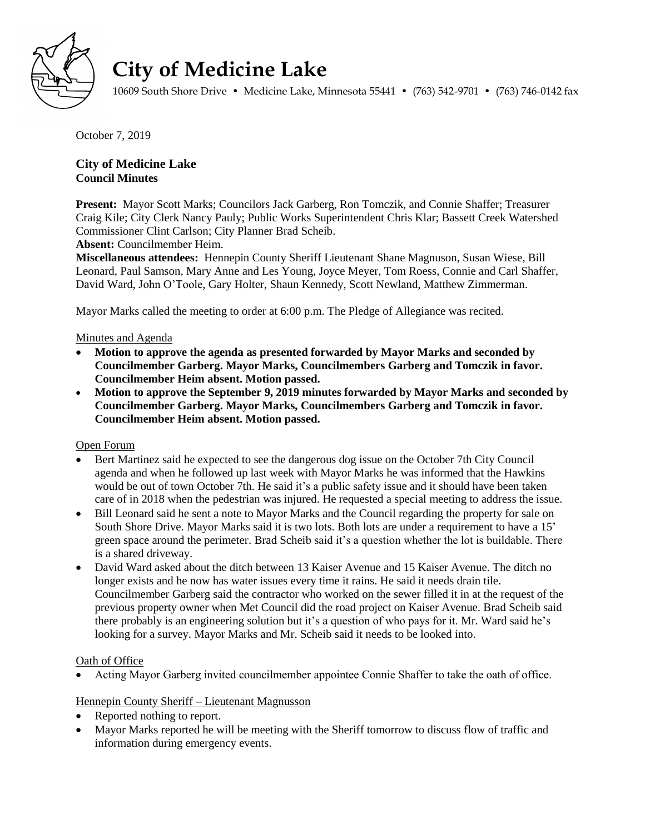

# **City of Medicine Lake**

10609 South Shore Drive • Medicine Lake, Minnesota 55441 • (763) 542-9701 • (763) 746-0142 fax

October 7, 2019

# **City of Medicine Lake Council Minutes**

**Present:** Mayor Scott Marks; Councilors Jack Garberg, Ron Tomczik, and Connie Shaffer; Treasurer Craig Kile; City Clerk Nancy Pauly; Public Works Superintendent Chris Klar; Bassett Creek Watershed Commissioner Clint Carlson; City Planner Brad Scheib.

**Absent:** Councilmember Heim.

**Miscellaneous attendees:** Hennepin County Sheriff Lieutenant Shane Magnuson, Susan Wiese, Bill Leonard, Paul Samson, Mary Anne and Les Young, Joyce Meyer, Tom Roess, Connie and Carl Shaffer, David Ward, John O'Toole, Gary Holter, Shaun Kennedy, Scott Newland, Matthew Zimmerman.

Mayor Marks called the meeting to order at 6:00 p.m. The Pledge of Allegiance was recited.

# Minutes and Agenda

- **Motion to approve the agenda as presented forwarded by Mayor Marks and seconded by Councilmember Garberg. Mayor Marks, Councilmembers Garberg and Tomczik in favor. Councilmember Heim absent. Motion passed.**
- **Motion to approve the September 9, 2019 minutes forwarded by Mayor Marks and seconded by Councilmember Garberg. Mayor Marks, Councilmembers Garberg and Tomczik in favor. Councilmember Heim absent. Motion passed.**

Open Forum

- Bert Martinez said he expected to see the dangerous dog issue on the October 7th City Council agenda and when he followed up last week with Mayor Marks he was informed that the Hawkins would be out of town October 7th. He said it's a public safety issue and it should have been taken care of in 2018 when the pedestrian was injured. He requested a special meeting to address the issue.
- Bill Leonard said he sent a note to Mayor Marks and the Council regarding the property for sale on South Shore Drive. Mayor Marks said it is two lots. Both lots are under a requirement to have a 15' green space around the perimeter. Brad Scheib said it's a question whether the lot is buildable. There is a shared driveway.
- David Ward asked about the ditch between 13 Kaiser Avenue and 15 Kaiser Avenue. The ditch no longer exists and he now has water issues every time it rains. He said it needs drain tile. Councilmember Garberg said the contractor who worked on the sewer filled it in at the request of the previous property owner when Met Council did the road project on Kaiser Avenue. Brad Scheib said there probably is an engineering solution but it's a question of who pays for it. Mr. Ward said he's looking for a survey. Mayor Marks and Mr. Scheib said it needs to be looked into.

# Oath of Office

Acting Mayor Garberg invited councilmember appointee Connie Shaffer to take the oath of office.

# Hennepin County Sheriff – Lieutenant Magnusson

- Reported nothing to report.
- Mayor Marks reported he will be meeting with the Sheriff tomorrow to discuss flow of traffic and information during emergency events.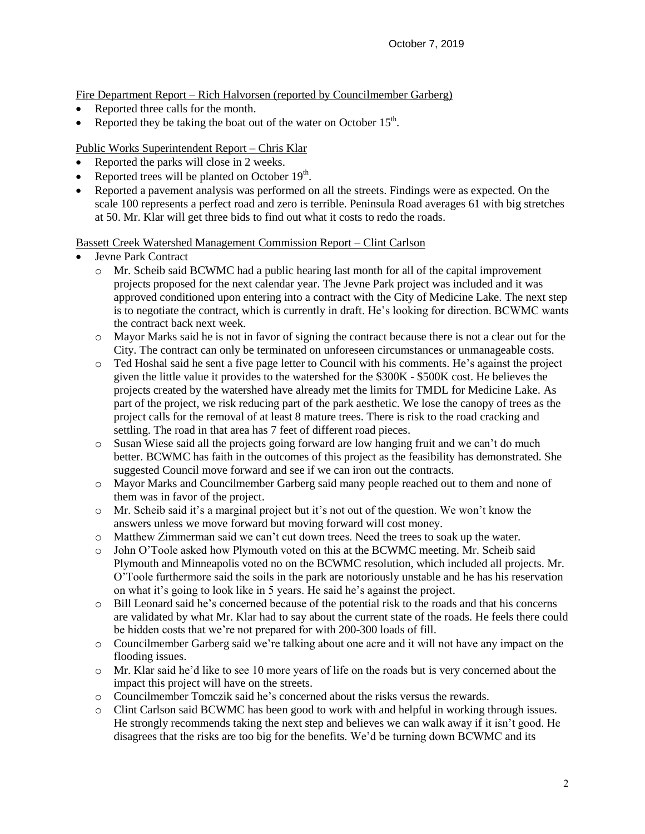Fire Department Report – Rich Halvorsen (reported by Councilmember Garberg)

- Reported three calls for the month.
- Reported they be taking the boat out of the water on October  $15<sup>th</sup>$ .

Public Works Superintendent Report – Chris Klar

- Reported the parks will close in 2 weeks.
- Reported trees will be planted on October  $19<sup>th</sup>$ .
- Reported a pavement analysis was performed on all the streets. Findings were as expected. On the scale 100 represents a perfect road and zero is terrible. Peninsula Road averages 61 with big stretches at 50. Mr. Klar will get three bids to find out what it costs to redo the roads.

Bassett Creek Watershed Management Commission Report – Clint Carlson

- Jevne Park Contract
	- o Mr. Scheib said BCWMC had a public hearing last month for all of the capital improvement projects proposed for the next calendar year. The Jevne Park project was included and it was approved conditioned upon entering into a contract with the City of Medicine Lake. The next step is to negotiate the contract, which is currently in draft. He's looking for direction. BCWMC wants the contract back next week.
	- o Mayor Marks said he is not in favor of signing the contract because there is not a clear out for the City. The contract can only be terminated on unforeseen circumstances or unmanageable costs.
	- o Ted Hoshal said he sent a five page letter to Council with his comments. He's against the project given the little value it provides to the watershed for the \$300K - \$500K cost. He believes the projects created by the watershed have already met the limits for TMDL for Medicine Lake. As part of the project, we risk reducing part of the park aesthetic. We lose the canopy of trees as the project calls for the removal of at least 8 mature trees. There is risk to the road cracking and settling. The road in that area has 7 feet of different road pieces.
	- o Susan Wiese said all the projects going forward are low hanging fruit and we can't do much better. BCWMC has faith in the outcomes of this project as the feasibility has demonstrated. She suggested Council move forward and see if we can iron out the contracts.
	- o Mayor Marks and Councilmember Garberg said many people reached out to them and none of them was in favor of the project.
	- $\circ$  Mr. Scheib said it's a marginal project but it's not out of the question. We won't know the answers unless we move forward but moving forward will cost money.
	- o Matthew Zimmerman said we can't cut down trees. Need the trees to soak up the water.
	- o John O'Toole asked how Plymouth voted on this at the BCWMC meeting. Mr. Scheib said Plymouth and Minneapolis voted no on the BCWMC resolution, which included all projects. Mr. O'Toole furthermore said the soils in the park are notoriously unstable and he has his reservation on what it's going to look like in 5 years. He said he's against the project.
	- o Bill Leonard said he's concerned because of the potential risk to the roads and that his concerns are validated by what Mr. Klar had to say about the current state of the roads. He feels there could be hidden costs that we're not prepared for with 200-300 loads of fill.
	- o Councilmember Garberg said we're talking about one acre and it will not have any impact on the flooding issues.
	- o Mr. Klar said he'd like to see 10 more years of life on the roads but is very concerned about the impact this project will have on the streets.
	- o Councilmember Tomczik said he's concerned about the risks versus the rewards.
	- o Clint Carlson said BCWMC has been good to work with and helpful in working through issues. He strongly recommends taking the next step and believes we can walk away if it isn't good. He disagrees that the risks are too big for the benefits. We'd be turning down BCWMC and its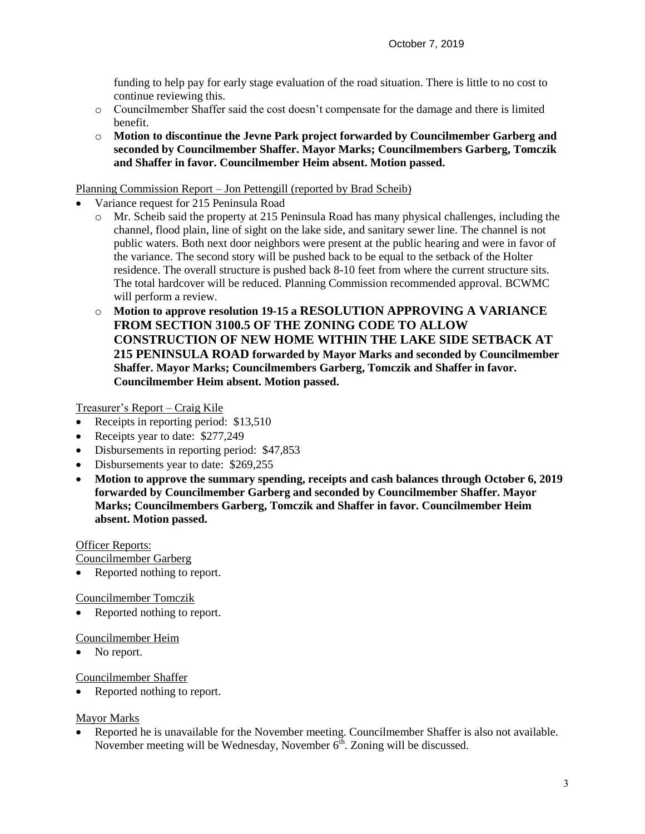funding to help pay for early stage evaluation of the road situation. There is little to no cost to continue reviewing this.

- o Councilmember Shaffer said the cost doesn't compensate for the damage and there is limited benefit.
- o **Motion to discontinue the Jevne Park project forwarded by Councilmember Garberg and seconded by Councilmember Shaffer. Mayor Marks; Councilmembers Garberg, Tomczik and Shaffer in favor. Councilmember Heim absent. Motion passed.**

### Planning Commission Report – Jon Pettengill (reported by Brad Scheib)

- Variance request for 215 Peninsula Road
	- o Mr. Scheib said the property at 215 Peninsula Road has many physical challenges, including the channel, flood plain, line of sight on the lake side, and sanitary sewer line. The channel is not public waters. Both next door neighbors were present at the public hearing and were in favor of the variance. The second story will be pushed back to be equal to the setback of the Holter residence. The overall structure is pushed back 8-10 feet from where the current structure sits. The total hardcover will be reduced. Planning Commission recommended approval. BCWMC will perform a review.
	- o **Motion to approve resolution 19-15 a RESOLUTION APPROVING A VARIANCE FROM SECTION 3100.5 OF THE ZONING CODE TO ALLOW CONSTRUCTION OF NEW HOME WITHIN THE LAKE SIDE SETBACK AT 215 PENINSULA ROAD forwarded by Mayor Marks and seconded by Councilmember Shaffer. Mayor Marks; Councilmembers Garberg, Tomczik and Shaffer in favor. Councilmember Heim absent. Motion passed.**

Treasurer's Report – Craig Kile

- Receipts in reporting period: \$13,510
- Receipts year to date: \$277,249
- Disbursements in reporting period: \$47,853
- Disbursements year to date: \$269,255
- **Motion to approve the summary spending, receipts and cash balances through October 6, 2019 forwarded by Councilmember Garberg and seconded by Councilmember Shaffer. Mayor Marks; Councilmembers Garberg, Tomczik and Shaffer in favor. Councilmember Heim absent. Motion passed.**

#### Officer Reports:

Councilmember Garberg

Reported nothing to report.

#### Councilmember Tomczik

Reported nothing to report.

#### Councilmember Heim

• No report.

Councilmember Shaffer

Reported nothing to report.

# Mayor Marks

 Reported he is unavailable for the November meeting. Councilmember Shaffer is also not available. November meeting will be Wednesday, November  $6^{\text{th}}$ . Zoning will be discussed.